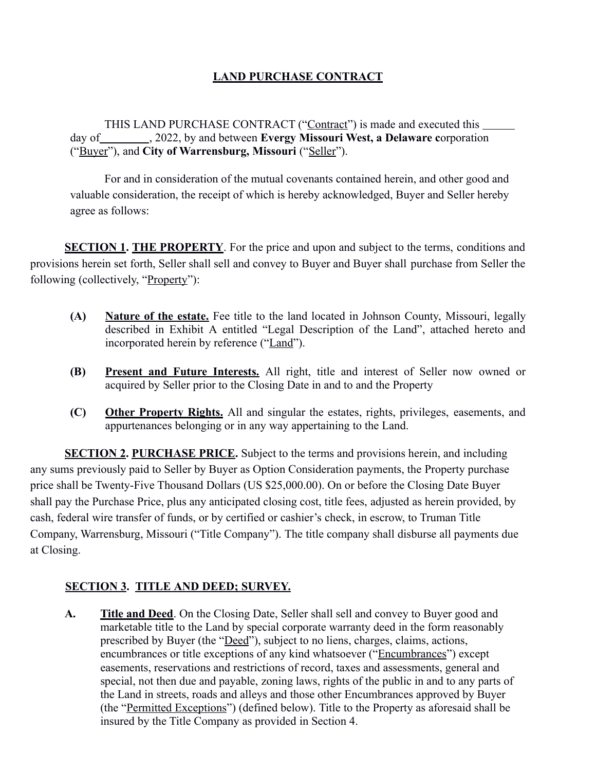# **LAND PURCHASE CONTRACT**

THIS LAND PURCHASE CONTRACT ("Contract") is made and executed this day of , 2022, by and between **Evergy Missouri West, a Delaware c**orporation ("Buyer"), and **City of Warrensburg, Missouri** ("Seller").

For and in consideration of the mutual covenants contained herein, and other good and valuable consideration, the receipt of which is hereby acknowledged, Buyer and Seller hereby agree as follows:

**SECTION 1. THE PROPERTY**. For the price and upon and subject to the terms, conditions and provisions herein set forth, Seller shall sell and convey to Buyer and Buyer shall purchase from Seller the following (collectively, "Property"):

- **(A) Nature of the estate.** Fee title to the land located in Johnson County, Missouri, legally described in Exhibit A entitled "Legal Description of the Land", attached hereto and incorporated herein by reference ("Land").
- **(B) Present and Future Interests.** All right, title and interest of Seller now owned or acquired by Seller prior to the Closing Date in and to and the Property
- **(C) Other Property Rights.** All and singular the estates, rights, privileges, easements, and appurtenances belonging or in any way appertaining to the Land.

**SECTION 2. PURCHASE PRICE.** Subject to the terms and provisions herein, and including any sums previously paid to Seller by Buyer as Option Consideration payments, the Property purchase price shall be Twenty-Five Thousand Dollars (US \$25,000.00). On or before the Closing Date Buyer shall pay the Purchase Price, plus any anticipated closing cost, title fees, adjusted as herein provided, by cash, federal wire transfer of funds, or by certified or cashier's check, in escrow, to Truman Title Company, Warrensburg, Missouri ("Title Company"). The title company shall disburse all payments due at Closing.

## **SECTION 3. TITLE AND DEED; SURVEY.**

**A. Title and Deed**. On the Closing Date, Seller shall sell and convey to Buyer good and marketable title to the Land by special corporate warranty deed in the form reasonably prescribed by Buyer (the "Deed"), subject to no liens, charges, claims, actions, encumbrances or title exceptions of any kind whatsoever ("Encumbrances") except easements, reservations and restrictions of record, taxes and assessments, general and special, not then due and payable, zoning laws, rights of the public in and to any parts of the Land in streets, roads and alleys and those other Encumbrances approved by Buyer (the "Permitted Exceptions") (defined below). Title to the Property as aforesaid shall be insured by the Title Company as provided in Section 4.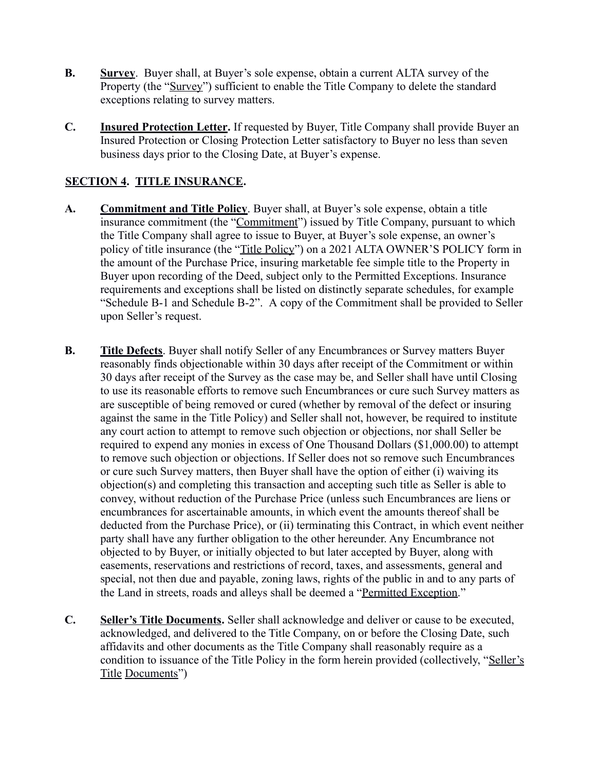- **B. Survey**. Buyer shall, at Buyer's sole expense, obtain a current ALTA survey of the Property (the "Survey") sufficient to enable the Title Company to delete the standard exceptions relating to survey matters.
- **C. Insured Protection Letter.** If requested by Buyer, Title Company shall provide Buyer an Insured Protection or Closing Protection Letter satisfactory to Buyer no less than seven business days prior to the Closing Date, at Buyer's expense.

## **SECTION 4. TITLE INSURANCE.**

- **A. Commitment and Title Policy**. Buyer shall, at Buyer's sole expense, obtain a title insurance commitment (the "Commitment") issued by Title Company, pursuant to which the Title Company shall agree to issue to Buyer, at Buyer's sole expense, an owner's policy of title insurance (the "Title Policy") on a 2021 ALTA OWNER'S POLICY form in the amount of the Purchase Price, insuring marketable fee simple title to the Property in Buyer upon recording of the Deed, subject only to the Permitted Exceptions. Insurance requirements and exceptions shall be listed on distinctly separate schedules, for example "Schedule B-1 and Schedule B-2". A copy of the Commitment shall be provided to Seller upon Seller's request.
- **B. Title Defects**. Buyer shall notify Seller of any Encumbrances or Survey matters Buyer reasonably finds objectionable within 30 days after receipt of the Commitment or within 30 days after receipt of the Survey as the case may be, and Seller shall have until Closing to use its reasonable efforts to remove such Encumbrances or cure such Survey matters as are susceptible of being removed or cured (whether by removal of the defect or insuring against the same in the Title Policy) and Seller shall not, however, be required to institute any court action to attempt to remove such objection or objections, nor shall Seller be required to expend any monies in excess of One Thousand Dollars (\$1,000.00) to attempt to remove such objection or objections. If Seller does not so remove such Encumbrances or cure such Survey matters, then Buyer shall have the option of either (i) waiving its objection(s) and completing this transaction and accepting such title as Seller is able to convey, without reduction of the Purchase Price (unless such Encumbrances are liens or encumbrances for ascertainable amounts, in which event the amounts thereof shall be deducted from the Purchase Price), or (ii) terminating this Contract, in which event neither party shall have any further obligation to the other hereunder. Any Encumbrance not objected to by Buyer, or initially objected to but later accepted by Buyer, along with easements, reservations and restrictions of record, taxes, and assessments, general and special, not then due and payable, zoning laws, rights of the public in and to any parts of the Land in streets, roads and alleys shall be deemed a " Permitted Exception."
- **C. Seller's Title Documents.** Seller shall acknowledge and deliver or cause to be executed, acknowledged, and delivered to the Title Company, on or before the Closing Date, such affidavits and other documents as the Title Company shall reasonably require as a condition to issuance of the Title Policy in the form herein provided (collectively, "Seller's Title Documents")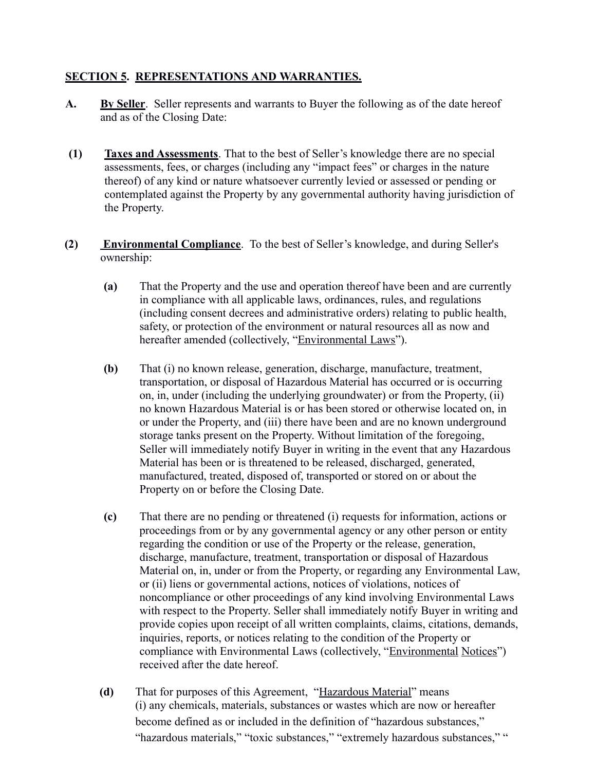### **SECTION 5. REPRESENTATIONS AND WARRANTIES.**

- **A. By Seller**. Seller represents and warrants to Buyer the following as of the date hereof and as of the Closing Date:
- **(1) Taxes and Assessments**. That to the best of Seller's knowledge there are no special assessments, fees, or charges (including any "impact fees" or charges in the nature thereof) of any kind or nature whatsoever currently levied or assessed or pending or contemplated against the Property by any governmental authority having jurisdiction of the Property.
- **(2) Environmental Compliance**. To the best of Seller's knowledge, and during Seller's ownership:
	- **(a)** That the Property and the use and operation thereof have been and are currently in compliance with all applicable laws, ordinances, rules, and regulations (including consent decrees and administrative orders) relating to public health, safety, or protection of the environment or natural resources all as now and hereafter amended (collectively, "Environmental Laws").
	- **(b)** That (i) no known release, generation, discharge, manufacture, treatment, transportation, or disposal of Hazardous Material has occurred or is occurring on, in, under (including the underlying groundwater) or from the Property, (ii) no known Hazardous Material is or has been stored or otherwise located on, in or under the Property, and (iii) there have been and are no known underground storage tanks present on the Property. Without limitation of the foregoing, Seller will immediately notify Buyer in writing in the event that any Hazardous Material has been or is threatened to be released, discharged, generated, manufactured, treated, disposed of, transported or stored on or about the Property on or before the Closing Date.
	- **(c)** That there are no pending or threatened (i) requests for information, actions or proceedings from or by any governmental agency or any other person or entity regarding the condition or use of the Property or the release, generation, discharge, manufacture, treatment, transportation or disposal of Hazardous Material on, in, under or from the Property, or regarding any Environmental Law, or (ii) liens or governmental actions, notices of violations, notices of noncompliance or other proceedings of any kind involving Environmental Laws with respect to the Property. Seller shall immediately notify Buyer in writing and provide copies upon receipt of all written complaints, claims, citations, demands, inquiries, reports, or notices relating to the condition of the Property or compliance with Environmental Laws (collectively, "Environmental Notices") received after the date hereof.
	- **(d)** That for purposes of this Agreement, " Hazardous Material" means (i) any chemicals, materials, substances or wastes which are now or hereafter become defined as or included in the definition of "hazardous substances," "hazardous materials," "toxic substances," "extremely hazardous substances," "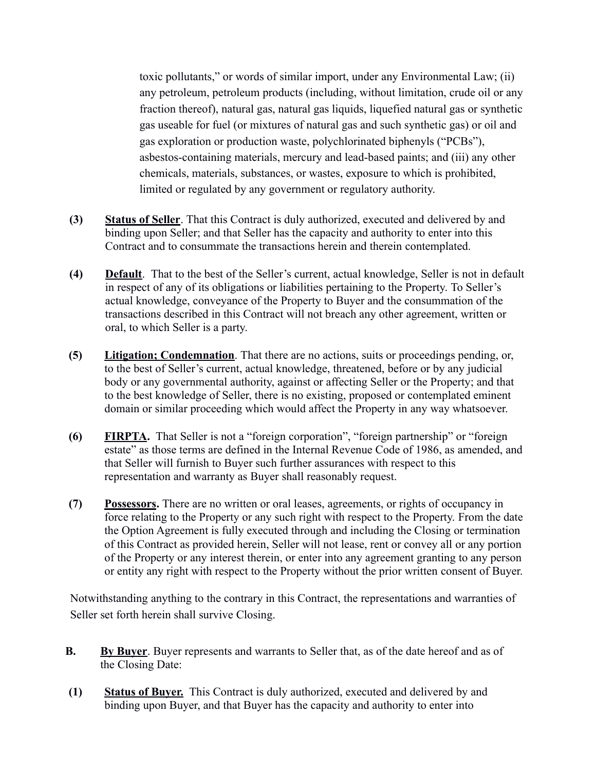toxic pollutants," or words of similar import, under any Environmental Law; (ii) any petroleum, petroleum products (including, without limitation, crude oil or any fraction thereof), natural gas, natural gas liquids, liquefied natural gas or synthetic gas useable for fuel (or mixtures of natural gas and such synthetic gas) or oil and gas exploration or production waste, polychlorinated biphenyls ("PCBs"), asbestos-containing materials, mercury and lead-based paints; and (iii) any other chemicals, materials, substances, or wastes, exposure to which is prohibited, limited or regulated by any government or regulatory authority.

- **(3) Status of Seller**. That this Contract is duly authorized, executed and delivered by and binding upon Seller; and that Seller has the capacity and authority to enter into this Contract and to consummate the transactions herein and therein contemplated.
- **(4) Default**. That to the best of the Seller's current, actual knowledge, Seller is not in default in respect of any of its obligations or liabilities pertaining to the Property. To Seller's actual knowledge, conveyance of the Property to Buyer and the consummation of the transactions described in this Contract will not breach any other agreement, written or oral, to which Seller is a party.
- **(5) Litigation; Condemnation**. That there are no actions, suits or proceedings pending, or, to the best of Seller's current, actual knowledge, threatened, before or by any judicial body or any governmental authority, against or affecting Seller or the Property; and that to the best knowledge of Seller, there is no existing, proposed or contemplated eminent domain or similar proceeding which would affect the Property in any way whatsoever.
- **(6) FIRPTA.** That Seller is not a "foreign corporation", "foreign partnership" or "foreign estate" as those terms are defined in the Internal Revenue Code of 1986, as amended, and that Seller will furnish to Buyer such further assurances with respect to this representation and warranty as Buyer shall reasonably request.
- **(7) Possessors.** There are no written or oral leases, agreements, or rights of occupancy in force relating to the Property or any such right with respect to the Property. From the date the Option Agreement is fully executed through and including the Closing or termination of this Contract as provided herein, Seller will not lease, rent or convey all or any portion of the Property or any interest therein, or enter into any agreement granting to any person or entity any right with respect to the Property without the prior written consent of Buyer.

Notwithstanding anything to the contrary in this Contract, the representations and warranties of Seller set forth herein shall survive Closing.

- **B.** By Buyer. Buyer represents and warrants to Seller that, as of the date hereof and as of the Closing Date:
- **(1) Status of Buyer.** This Contract is duly authorized, executed and delivered by and binding upon Buyer, and that Buyer has the capacity and authority to enter into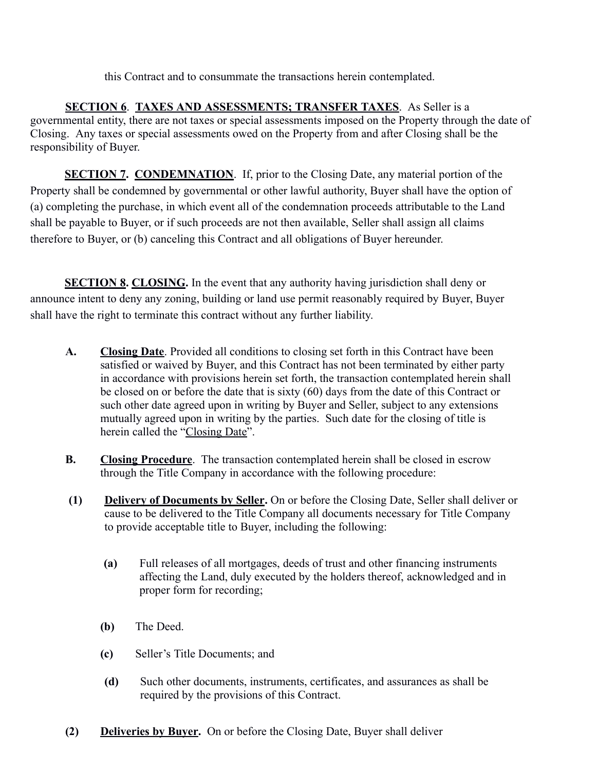this Contract and to consummate the transactions herein contemplated.

 **SECTION 6**. **TAXES AND ASSESSMENTS; TRANSFER TAXES**. As Seller is a governmental entity, there are not taxes or special assessments imposed on the Property through the date of Closing. Any taxes or special assessments owed on the Property from and after Closing shall be the responsibility of Buyer.

**SECTION 7. CONDEMNATION.** If, prior to the Closing Date, any material portion of the Property shall be condemned by governmental or other lawful authority, Buyer shall have the option of (a) completing the purchase, in which event all of the condemnation proceeds attributable to the Land shall be payable to Buyer, or if such proceeds are not then available, Seller shall assign all claims therefore to Buyer, or (b) canceling this Contract and all obligations of Buyer hereunder.

**SECTION 8. CLOSING.** In the event that any authority having jurisdiction shall deny or announce intent to deny any zoning, building or land use permit reasonably required by Buyer, Buyer shall have the right to terminate this contract without any further liability.

- **A. Closing Date**. Provided all conditions to closing set forth in this Contract have been satisfied or waived by Buyer, and this Contract has not been terminated by either party in accordance with provisions herein set forth, the transaction contemplated herein shall be closed on or before the date that is sixty (60) days from the date of this Contract or such other date agreed upon in writing by Buyer and Seller, subject to any extensions mutually agreed upon in writing by the parties. Such date for the closing of title is herein called the "Closing Date".
- **B.** Closing Procedure. The transaction contemplated herein shall be closed in escrow through the Title Company in accordance with the following procedure:
- **(1) Delivery of Documents by Seller.** On or before the Closing Date, Seller shall deliver or cause to be delivered to the Title Company all documents necessary for Title Company to provide acceptable title to Buyer, including the following:
	- **(a)** Full releases of all mortgages, deeds of trust and other financing instruments affecting the Land, duly executed by the holders thereof, acknowledged and in proper form for recording;
	- **(b)** The Deed.
	- **(c)** Seller's Title Documents; and
	- **(d)** Such other documents, instruments, certificates, and assurances as shall be required by the provisions of this Contract.
- **(2) Deliveries by Buyer.** On or before the Closing Date, Buyer shall deliver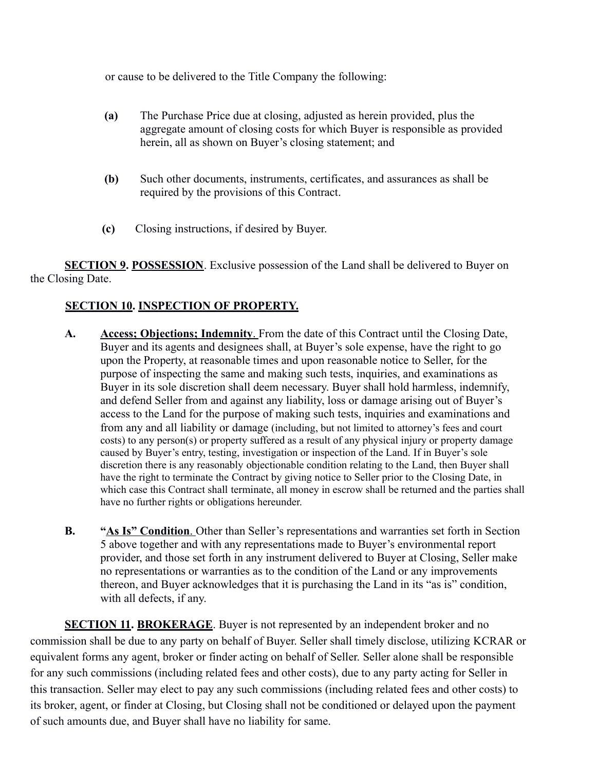or cause to be delivered to the Title Company the following:

- **(a)** The Purchase Price due at closing, adjusted as herein provided, plus the aggregate amount of closing costs for which Buyer is responsible as provided herein, all as shown on Buyer's closing statement; and
- **(b)** Such other documents, instruments, certificates, and assurances as shall be required by the provisions of this Contract.
- **(c)** Closing instructions, if desired by Buyer.

**SECTION 9. POSSESSION**. Exclusive possession of the Land shall be delivered to Buyer on the Closing Date.

### **SECTION 10. INSPECTION OF PROPERTY.**

- **A. Access; Objections; Indemnity**. From the date of this Contract until the Closing Date, Buyer and its agents and designees shall, at Buyer's sole expense, have the right to go upon the Property, at reasonable times and upon reasonable notice to Seller, for the purpose of inspecting the same and making such tests, inquiries, and examinations as Buyer in its sole discretion shall deem necessary. Buyer shall hold harmless, indemnify, and defend Seller from and against any liability, loss or damage arising out of Buyer's access to the Land for the purpose of making such tests, inquiries and examinations and from any and all liability or damage (including, but not limited to attorney's fees and court costs) to any person(s) or property suffered as a result of any physical injury or property damage caused by Buyer's entry, testing, investigation or inspection of the Land. If in Buyer's sole discretion there is any reasonably objectionable condition relating to the Land, then Buyer shall have the right to terminate the Contract by giving notice to Seller prior to the Closing Date, in which case this Contract shall terminate, all money in escrow shall be returned and the parties shall have no further rights or obligations hereunder.
- **B. " As Is" Condition**. Other than Seller's representations and warranties set forth in Section 5 above together and with any representations made to Buyer's environmental report provider, and those set forth in any instrument delivered to Buyer at Closing, Seller make no representations or warranties as to the condition of the Land or any improvements thereon, and Buyer acknowledges that it is purchasing the Land in its "as is" condition, with all defects, if any.

**SECTION 11. BROKERAGE**. Buyer is not represented by an independent broker and no commission shall be due to any party on behalf of Buyer. Seller shall timely disclose, utilizing KCRAR or equivalent forms any agent, broker or finder acting on behalf of Seller. Seller alone shall be responsible for any such commissions (including related fees and other costs), due to any party acting for Seller in this transaction. Seller may elect to pay any such commissions (including related fees and other costs) to its broker, agent, or finder at Closing, but Closing shall not be conditioned or delayed upon the payment of such amounts due, and Buyer shall have no liability for same.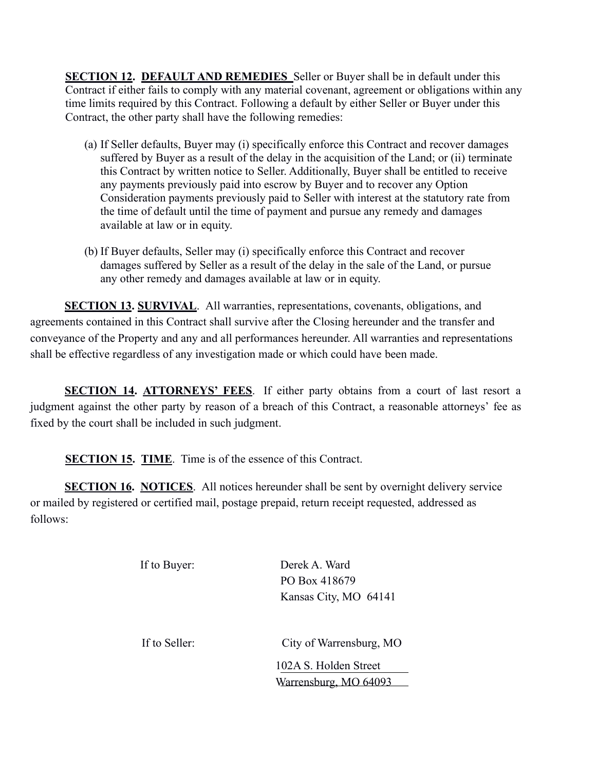**SECTION 12. DEFAULT AND REMEDIES** Seller or Buyer shall be in default under this Contract if either fails to comply with any material covenant, agreement or obligations within any time limits required by this Contract. Following a default by either Seller or Buyer under this Contract, the other party shall have the following remedies:

- (a) If Seller defaults, Buyer may (i) specifically enforce this Contract and recover damages suffered by Buyer as a result of the delay in the acquisition of the Land; or (ii) terminate this Contract by written notice to Seller. Additionally, Buyer shall be entitled to receive any payments previously paid into escrow by Buyer and to recover any Option Consideration payments previously paid to Seller with interest at the statutory rate from the time of default until the time of payment and pursue any remedy and damages available at law or in equity.
- (b) If Buyer defaults, Seller may (i) specifically enforce this Contract and recover damages suffered by Seller as a result of the delay in the sale of the Land, or pursue any other remedy and damages available at law or in equity.

**SECTION 13. SURVIVAL**. All warranties, representations, covenants, obligations, and agreements contained in this Contract shall survive after the Closing hereunder and the transfer and conveyance of the Property and any and all performances hereunder. All warranties and representations shall be effective regardless of any investigation made or which could have been made.

**SECTION 14. ATTORNEYS' FEES**. If either party obtains from a court of last resort a judgment against the other party by reason of a breach of this Contract, a reasonable attorneys' fee as fixed by the court shall be included in such judgment.

**SECTION 15. TIME.** Time is of the essence of this Contract.

**SECTION 16. NOTICES**. All notices hereunder shall be sent by overnight delivery service or mailed by registered or certified mail, postage prepaid, return receipt requested, addressed as follows:

| If to Buyer:  | Derek A. Ward<br>PO Box 418679<br>Kansas City, MO 64141                      |
|---------------|------------------------------------------------------------------------------|
| If to Seller: | City of Warrensburg, MO<br>102A S. Holden Street<br>Warrensburg, MO<br>64093 |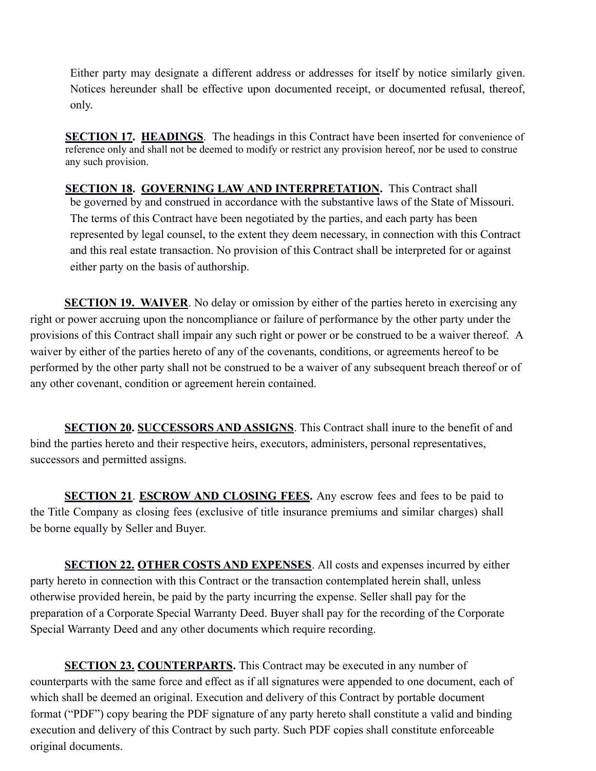Either party may designate a different address or addresses for itself by notice similarly given. Notices hereunder shall be effective upon documented receipt, or documented refusal, thereof, only.

 **SECTION 17. HEADINGS**. The headings in this Contract have been inserted for convenience of reference only and shall not be deemed to modify or restrict any provision hereof, nor be used to construe any such provision.

 **SECTION 18. GOVERNING LAW AND INTERPRETATION.** This Contract shall be governed by and construed in accordance with the substantive laws of the State of Missouri. The terms of this Contract have been negotiated by the parties, and each party has been represented by legal counsel, to the extent they deem necessary, in connection with this Contract and this real estate transaction. No provision of this Contract shall be interpreted for or against either party on the basis of authorship.

**SECTION 19. WAIVER**. No delay or omission by either of the parties hereto in exercising any right or power accruing upon the noncompliance or failure of performance by the other party under the provisions of this Contract shall impair any such right or power or be construed to be a waiver thereof. A waiver by either of the parties hereto of any of the covenants, conditions, or agreements hereof to be performed by the other party shall not be construed to be a waiver of any subsequent breach thereof or of any other covenant, condition or agreement herein contained.

**SECTION 20. SUCCESSORS AND ASSIGNS**. This Contract shall inure to the benefit of and bind the parties hereto and their respective heirs, executors, administers, personal representatives, successors and permitted assigns.

**SECTION 21. ESCROW AND CLOSING FEES.** Any escrow fees and fees to be paid to the Title Company as closing fees (exclusive of title insurance premiums and similar charges) shall be borne equally by Seller and Buyer.

**SECTION 22. OTHER COSTS AND EXPENSES**. All costs and expenses incurred by either party hereto in connection with this Contract or the transaction contemplated herein shall, unless otherwise provided herein, be paid by the party incurring the expense. Seller shall pay for the preparation of a Corporate Special Warranty Deed. Buyer shall pay for the recording of the Corporate Special Warranty Deed and any other documents which require recording.

**SECTION 23. COUNTERPARTS.** This Contract may be executed in any number of counterparts with the same force and effect as if all signatures were appended to one document, each of which shall be deemed an original. Execution and delivery of this Contract by portable document format ("PDF") copy bearing the PDF signature of any party hereto shall constitute a valid and binding execution and delivery of this Contract by such party. Such PDF copies shall constitute enforceable original documents.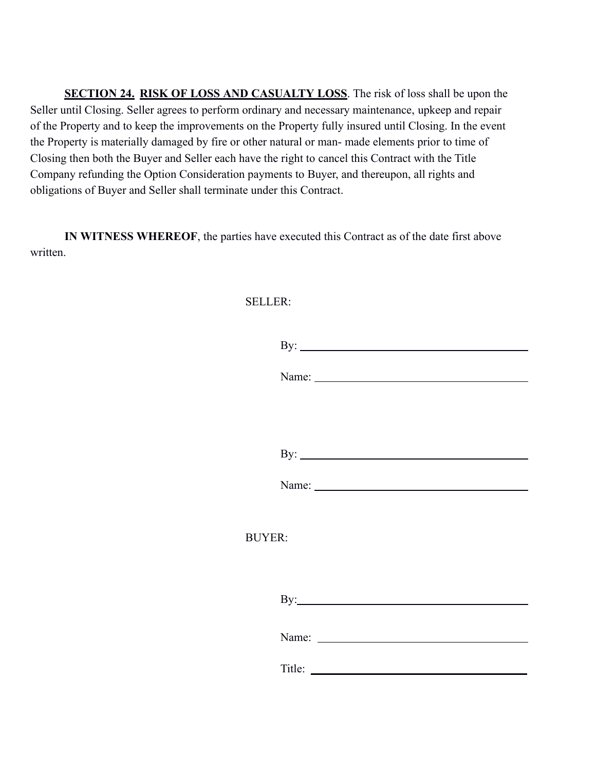**SECTION 24. RISK OF LOSS AND CASUALTY LOSS**. The risk of loss shall be upon the Seller until Closing. Seller agrees to perform ordinary and necessary maintenance, upkeep and repair of the Property and to keep the improvements on the Property fully insured until Closing. In the event the Property is materially damaged by fire or other natural or man- made elements prior to time of Closing then both the Buyer and Seller each have the right to cancel this Contract with the Title Company refunding the Option Consideration payments to Buyer, and thereupon, all rights and obligations of Buyer and Seller shall terminate under this Contract.

**IN WITNESS WHEREOF**, the parties have executed this Contract as of the date first above written.

#### SELLER:

|               | By: $\qquad \qquad$         |
|---------------|-----------------------------|
|               |                             |
|               |                             |
|               |                             |
|               |                             |
|               |                             |
|               |                             |
| <b>BUYER:</b> |                             |
|               |                             |
|               | $\mathbf{By:}\_\_\_\_\_\_\$ |
|               |                             |
|               | Title:                      |